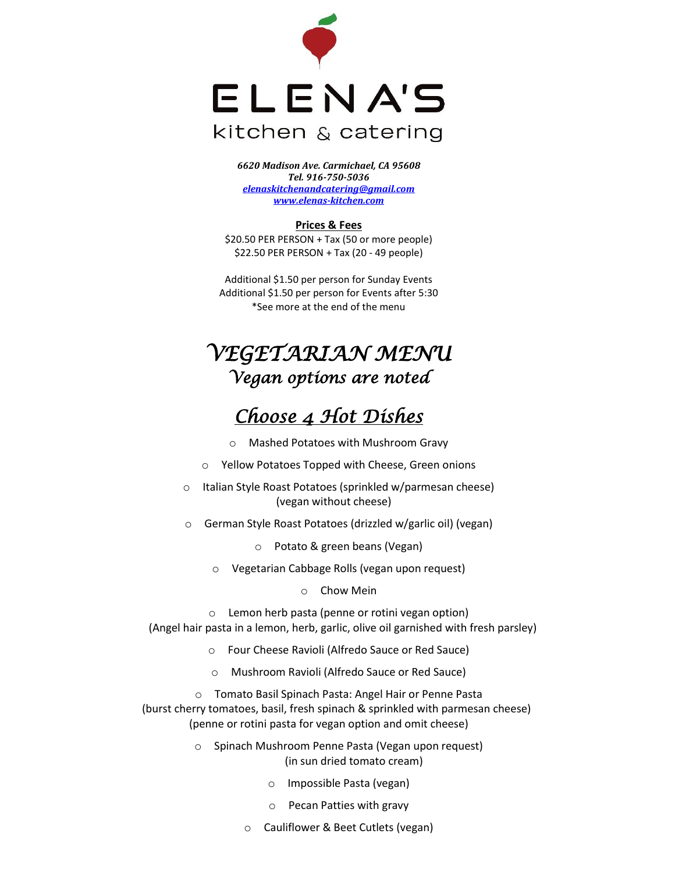

*6620 Madison Ave. Carmichael, CA 95608 Tel. 916-750-5036 [elenaskitchenandcatering@gmail.com](mailto:elenaskitchenandcatering@gmail.com) [www.elenas-kitchen.com](http://www.elenas-kitchen.com/)*

#### **Prices & Fees**

\$20.50 PER PERSON + Tax (50 or more people) \$22.50 PER PERSON + Tax (20 - 49 people)

Additional \$1.50 per person for Sunday Events Additional \$1.50 per person for Events after 5:30 \*See more at the end of the menu

# *VEGETARIAN MENU Vegan options are noted*

## *Choose 4 Hot Dishes*

- o Mashed Potatoes with Mushroom Gravy
- o Yellow Potatoes Topped with Cheese, Green onions
- o Italian Style Roast Potatoes (sprinkled w/parmesan cheese) (vegan without cheese)
- o German Style Roast Potatoes (drizzled w/garlic oil) (vegan)
	- o Potato & green beans (Vegan)
	- o Vegetarian Cabbage Rolls (vegan upon request)
		- o Chow Mein

o Lemon herb pasta (penne or rotini vegan option) (Angel hair pasta in a lemon, herb, garlic, olive oil garnished with fresh parsley)

- o Four Cheese Ravioli (Alfredo Sauce or Red Sauce)
- o Mushroom Ravioli (Alfredo Sauce or Red Sauce)

o Tomato Basil Spinach Pasta: Angel Hair or Penne Pasta (burst cherry tomatoes, basil, fresh spinach & sprinkled with parmesan cheese) (penne or rotini pasta for vegan option and omit cheese)

- o Spinach Mushroom Penne Pasta (Vegan upon request) (in sun dried tomato cream)
	- o Impossible Pasta (vegan)
	- o Pecan Patties with gravy
	- o Cauliflower & Beet Cutlets (vegan)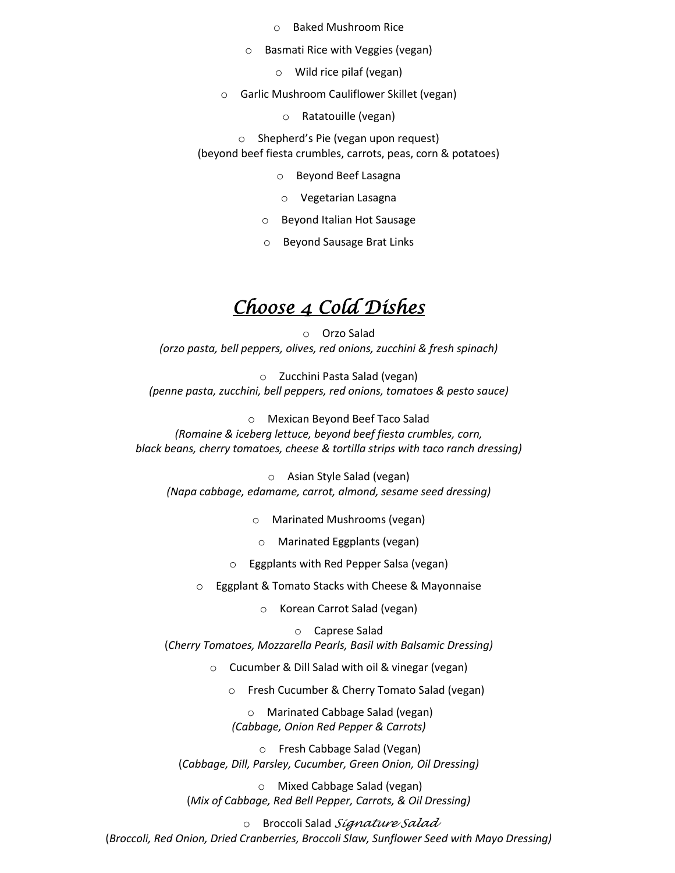- o Baked Mushroom Rice
- o Basmati Rice with Veggies (vegan)
	- o Wild rice pilaf (vegan)
- o Garlic Mushroom Cauliflower Skillet (vegan)
	- o Ratatouille (vegan)
	- o Shepherd's Pie (vegan upon request)

(beyond beef fiesta crumbles, carrots, peas, corn & potatoes)

- o Beyond Beef Lasagna
- o Vegetarian Lasagna
- o Beyond Italian Hot Sausage
- o Beyond Sausage Brat Links

### *Choose 4 Cold Dishes*

o Orzo Salad *(orzo pasta, bell peppers, olives, red onions, zucchini & fresh spinach)*

o Zucchini Pasta Salad (vegan) *(penne pasta, zucchini, bell peppers, red onions, tomatoes & pesto sauce)*

o Mexican Beyond Beef Taco Salad *(Romaine & iceberg lettuce, beyond beef fiesta crumbles, corn, black beans, cherry tomatoes, cheese & tortilla strips with taco ranch dressing)*

o Asian Style Salad (vegan) *(Napa cabbage, edamame, carrot, almond, sesame seed dressing)*

o Marinated Mushrooms (vegan)

o Marinated Eggplants (vegan)

o Eggplants with Red Pepper Salsa (vegan)

o Eggplant & Tomato Stacks with Cheese & Mayonnaise

o Korean Carrot Salad (vegan)

o Caprese Salad

(*Cherry Tomatoes, Mozzarella Pearls, Basil with Balsamic Dressing)*

o Cucumber & Dill Salad with oil & vinegar (vegan)

o Fresh Cucumber & Cherry Tomato Salad (vegan)

o Marinated Cabbage Salad (vegan) *(Cabbage, Onion Red Pepper & Carrots)*

o Fresh Cabbage Salad (Vegan) (*Cabbage, Dill, Parsley, Cucumber, Green Onion, Oil Dressing)*

o Mixed Cabbage Salad (vegan) (*Mix of Cabbage, Red Bell Pepper, Carrots, & Oil Dressing)*

o Broccoli Salad *Signature Salad*

(*Broccoli, Red Onion, Dried Cranberries, Broccoli Slaw, Sunflower Seed with Mayo Dressing)*